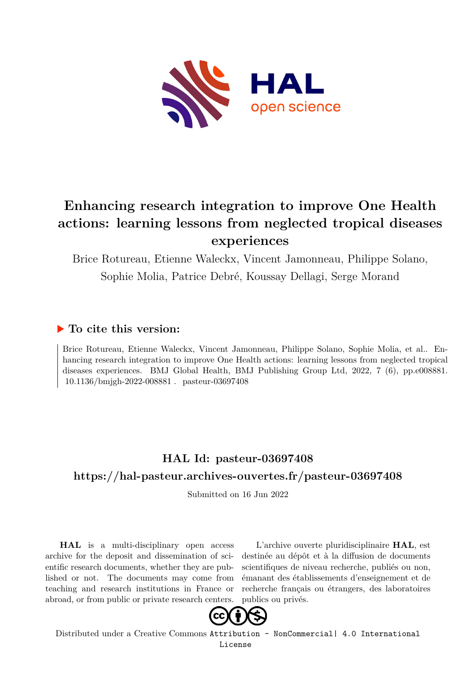

# **Enhancing research integration to improve One Health actions: learning lessons from neglected tropical diseases experiences**

Brice Rotureau, Etienne Waleckx, Vincent Jamonneau, Philippe Solano,

Sophie Molia, Patrice Debré, Koussay Dellagi, Serge Morand

## **To cite this version:**

Brice Rotureau, Etienne Waleckx, Vincent Jamonneau, Philippe Solano, Sophie Molia, et al.. Enhancing research integration to improve One Health actions: learning lessons from neglected tropical diseases experiences. BMJ Global Health, BMJ Publishing Group Ltd, 2022, 7 (6), pp.e008881. folosof/hmigh-2022-008881 . pasteur-03697408

## **HAL Id: pasteur-03697408 <https://hal-pasteur.archives-ouvertes.fr/pasteur-03697408>**

Submitted on 16 Jun 2022

**HAL** is a multi-disciplinary open access archive for the deposit and dissemination of scientific research documents, whether they are published or not. The documents may come from teaching and research institutions in France or abroad, or from public or private research centers.

L'archive ouverte pluridisciplinaire **HAL**, est destinée au dépôt et à la diffusion de documents scientifiques de niveau recherche, publiés ou non, émanant des établissements d'enseignement et de recherche français ou étrangers, des laboratoires publics ou privés.



Distributed under a Creative Commons [Attribution - NonCommercial| 4.0 International](http://creativecommons.org/licenses/by-nc/4.0/) [License](http://creativecommons.org/licenses/by-nc/4.0/)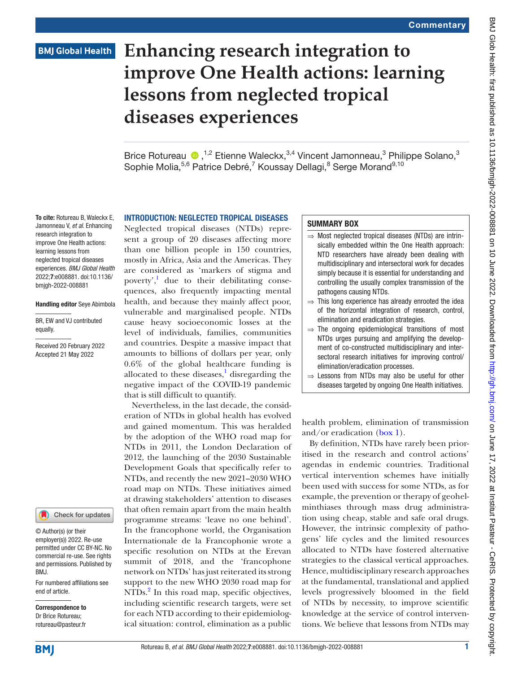### **BMJ Global Health**

# **Enhancing research integration to improve One Health actions: learning lessons from neglected tropical diseases experiences**

Brice Rotureau <sup>1,2</sup> Etienne Waleckx,<sup>3,4</sup> Vincent Jamonneau,<sup>3</sup> Philippe Solano,<sup>3</sup> Sophie Molia,<sup>5,6</sup> Patrice Debré,<sup>7</sup> Koussay Dellagi,<sup>8</sup> Serge Morand<sup>9,10</sup>

To cite: Rotureau B, Waleckx E, Jamonneau V, *et al*. Enhancing research integration to improve One Health actions: learning lessons from neglected tropical diseases experiences. *BMJ Global Health* 2022;7:e008881. doi:10.1136/ bmjgh-2022-008881

#### Handling editor Seye Abimbola

BR, EW and VJ contributed equally.

Received 20 February 2022 Accepted 21 May 2022



© Author(s) (or their employer(s)) 2022. Re-use permitted under CC BY-NC. No commercial re-use. See rights and permissions. Published by BMJ.

For numbered affiliations see end of article.

Correspondence to Dr Brice Rotureau; rotureau@pasteur.fr

#### INTRODUCTION: NEGLECTED TROPICAL DISEASES

Neglected tropical diseases (NTDs) represent a group of 20 diseases affecting more than one billion people in 150 countries, mostly in Africa, Asia and the Americas. They are considered as 'markers of stigma and poverty',<sup>1</sup> due to their debilitating consequences, also frequently impacting mental health, and because they mainly affect poor, vulnerable and marginalised people. NTDs cause heavy socioeconomic losses at the level of individuals, families, communities and countries. Despite a massive impact that amounts to billions of dollars per year, only 0.6% of the global healthcare funding is allocated to these diseases, $\frac{1}{2}$  disregarding the negative impact of the COVID-19 pandemic that is still difficult to quantify.

Nevertheless, in the last decade, the consideration of NTDs in global health has evolved and gained momentum. This was heralded by the adoption of the WHO road map for NTDs in 2011, the London Declaration of 2012, the launching of the 2030 Sustainable Development Goals that specifically refer to NTDs, and recently the new 2021–2030 WHO road map on NTDs. These initiatives aimed at drawing stakeholders' attention to diseases that often remain apart from the main health programme streams: 'leave no one behind'. In the francophone world, the Organisation Internationale de la Francophonie wrote a specific resolution on NTDs at the Erevan summit of 2018, and the 'francophone network on NTDs' has just reiterated its strong support to the new WHO 2030 road map for NTDs.<sup>2</sup> In this road map, specific objectives, including scientific research targets, were set for each NTD according to their epidemiological situation: control, elimination as a public

#### SUMMARY BOX

- ⇒ Most neglected tropical diseases (NTDs) are intrinsically embedded within the One Health approach: NTD researchers have already been dealing with multidisciplinary and intersectoral work for decades simply because it is essential for understanding and controlling the usually complex transmission of the pathogens causing NTDs.
- $\Rightarrow$  This long experience has already enrooted the idea of the horizontal integration of research, control, elimination and eradication strategies.
- $\Rightarrow$  The ongoing epidemiological transitions of most NTDs urges pursuing and amplifying the development of co-constructed multidisciplinary and intersectoral research initiatives for improving control/ elimination/eradication processes.
- ⇒ Lessons from NTDs may also be useful for other diseases targeted by ongoing One Health initiatives.

health problem, elimination of transmission and/or eradication (box 1).

By definition, NTDs have rarely been prioritised in the research and control actions' agendas in endemic countries. Traditional vertical intervention schemes have initially been used with success for some NTDs, as for example, the prevention or therapy of geohelminthiases through mass drug administration using cheap, stable and safe oral drugs. However, the intrinsic complexity of pathogens' life cycles and the limited resources allocated to NTDs have fostered alternative strategies to the classical vertical approaches. Hence, multidisciplinary research approaches at the fundamental, translational and applied levels progressively bloomed in the field of NTDs by necessity, to improve scientific knowledge at the service of control interventions. We believe that lessons from NTDs may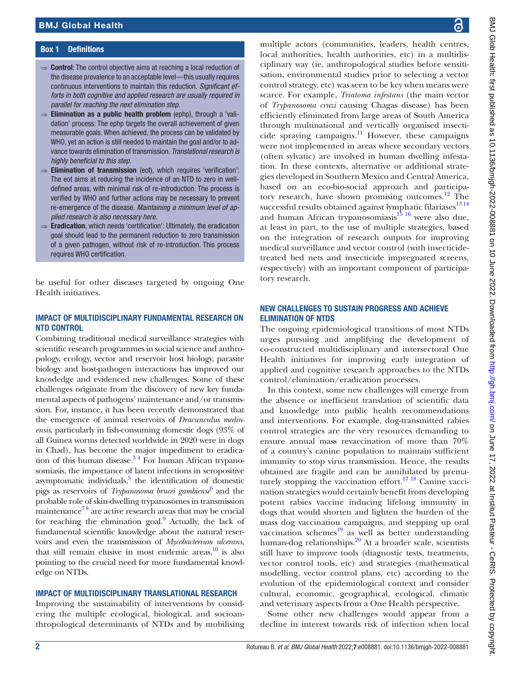#### Box 1 Definitions

- ⇒ Control: The control objective aims at reaching a local reduction of the disease prevalence to an acceptable level—this usually requires continuous interventions to maintain this reduction. *Significant efforts in both cognitive and applied research are usually required in parallel for reaching the next elimination step*.
- $\Rightarrow$  Elimination as a public health problem (ephp), through a 'validation' process: The ephp targets the overall achievement of given measurable goals. When achieved, the process can be validated by WHO, yet an action is still needed to maintain the goal and/or to advance towards elimination of transmission. *Translational research is highly beneficial to this step*.
- ⇒ Elimination of transmission (eot), which requires 'verification': The eot aims at reducing the incidence of an NTD to zero in welldefined areas, with minimal risk of re-introduction. The process is verified by WHO and further actions may be necessary to prevent re-emergence of the disease. *Maintaining a minimum level of applied research is also necessary here*.
- $\Rightarrow$  Eradication, which needs 'certification': Ultimately, the eradication goal should lead to the permanent reduction to zero transmission of a given pathogen, without risk of re-introduction. This process requires WHO certification.

be useful for other diseases targeted by ongoing One Health initiatives.

#### IMPACT OF MULTIDISCIPLINARY FUNDAMENTAL RESEARCH ON NTD CONTROL

Combining traditional medical surveillance strategies with scientific research programmes in social science and anthropology, ecology, vector and reservoir host biology, parasite biology and host-pathogen interactions has improved our knowledge and evidenced new challenges. Some of these challenges originate from the discovery of new key fundamental aspects of pathogens' maintenance and/or transmission. For, instance, it has been recently demonstrated that the emergence of animal reservoirs of *Dracunculus medinensis*, particularly in fish-consuming domestic dogs (93% of all Guinea worms detected worldwide in 2020 were in dogs in Chad), has become the major impediment to eradication of this human disease. $3<sup>4</sup>$  For human African trypanosomiasis, the importance of latent infections in seropositive asymptomatic individuals, $5$  the identification of domestic pigs as reservoirs of *Trypanosoma brucei gambiense*6 and the probable role of skin-dwelling trypanosomes in transmission maintenance<sup>78</sup> are active research areas that may be crucial for reaching the elimination goal.<sup>9</sup> Actually, the lack of fundamental scientific knowledge about the natural reservoirs and even the transmission of *Mycobacterium ulcerans,* that still remain elusive in most endemic areas, $10$  is also pointing to the crucial need for more fundamental knowledge on NTDs.

#### IMPACT OF MULTIDISCIPLINARY TRANSLATIONAL RESEARCH

Improving the sustainability of interventions by considering the multiple ecological, biological, and socioanthropological determinants of NTDs and by mobilising

multiple actors (communities, leaders, health centres, local authorities, health authorities, etc) in a multidisciplinary way (ie, anthropological studies before sensitisation, environmental studies prior to selecting a vector control strategy, etc) was seen to be key when means were scarce. For example, *Triatoma infestans* (the main vector of *Trypanosoma cruzi* causing Chagas disease) has been efficiently eliminated from large areas of South America through multinational and vertically organised insecticide spraying campaigns.<sup>11</sup> However, these campaigns were not implemented in areas where secondary vectors (often sylvatic) are involved in human dwelling infestation. In these contexts, alternative or additional strategies developed in Southern Mexico and Central America, based on an eco-bio-social approach and participatory research, have shown promising outcomes.<sup>12</sup> The successful results obtained against lymphatic filariases $^{13\,14}$ and human African trypanosomiasis<sup>15</sup> 16 were also due, at least in part, to the use of multiple strategies, based on the integration of research outputs for improving medical surveillance and vector control (with insecticidetreated bed nets and insecticide impregnated screens, respectively) with an important component of participatory research.

#### NEW CHALLENGES TO SUSTAIN PROGRESS AND ACHIEVE ELIMINATION OF NTDS

The ongoing epidemiological transitions of most NTDs urges pursuing and amplifying the development of co-constructed multidisciplinary and intersectoral One Health initiatives for improving early integration of applied and cognitive research approaches to the NTDs control/elimination/eradication processes.

In this context, some new challenges will emerge from the absence or inefficient translation of scientific data and knowledge into public health recommendations and interventions. For example, dog-transmitted rabies control strategies are the very resources demanding to ensure annual mass revaccination of more than 70% of a country's canine population to maintain sufficient immunity to stop virus transmission. Hence, the results obtained are fragile and can be annihilated by prematurely stopping the vaccination effort.<sup>17 18</sup> Canine vaccination strategies would certainly benefit from developing potent rabies vaccine inducing lifelong immunity in dogs that would shorten and lighten the burden of the mass dog vaccination campaigns, and stepping up oral vaccination schemes $^{19}$  as well as better understanding human-dog relationships.20 At a broader scale, scientists still have to improve tools (diagnostic tests, treatments, vector control tools, etc) and strategies (mathematical modelling, vector control plans, etc) according to the evolution of the epidemiological context and consider cultural, economic, geographical, ecological, climatic and veterinary aspects from a One Health perspective.

Some other new challenges would appear from a decline in interest towards risk of infection when local